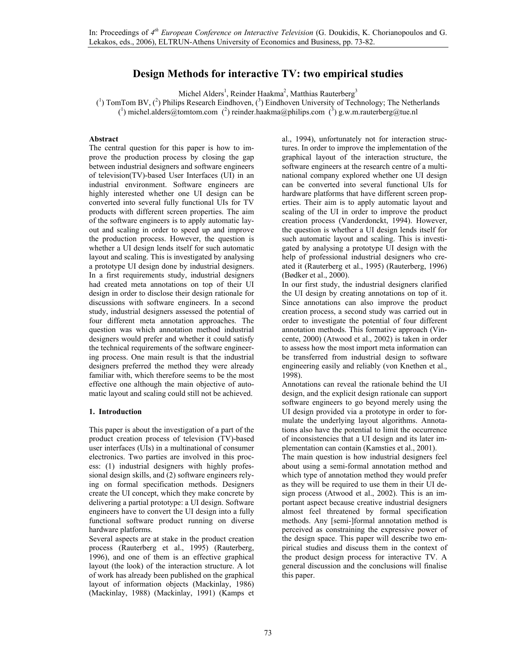# **Design Methods for interactive TV: two empirical studies**

Michel Alders<sup>1</sup>, Reinder Haakma<sup>2</sup>, Matthias Rauterberg<sup>3</sup>

 $(1)$  TomTom BV,  $(2)$  Philips Research Eindhoven,  $(3)$  Eindhoven University of Technology; The Netherlands

(<sup>1</sup>) michel.alders@tomtom.com (<sup>2</sup>) reinder.haakma@philips.com (<sup>3</sup>) g.w.m.rauterberg@tue.nl

### **Abstract**

The central question for this paper is how to improve the production process by closing the gap between industrial designers and software engineers of television(TV)-based User Interfaces (UI) in an industrial environment. Software engineers are highly interested whether one UI design can be converted into several fully functional UIs for TV products with different screen properties. The aim of the software engineers is to apply automatic layout and scaling in order to speed up and improve the production process. However, the question is whether a UI design lends itself for such automatic layout and scaling. This is investigated by analysing a prototype UI design done by industrial designers. In a first requirements study, industrial designers had created meta annotations on top of their UI design in order to disclose their design rationale for discussions with software engineers. In a second study, industrial designers assessed the potential of four different meta annotation approaches. The question was which annotation method industrial designers would prefer and whether it could satisfy the technical requirements of the software engineering process. One main result is that the industrial designers preferred the method they were already familiar with, which therefore seems to be the most effective one although the main objective of automatic layout and scaling could still not be achieved.

### **1. Introduction**

This paper is about the investigation of a part of the product creation process of television (TV)-based user interfaces (UIs) in a multinational of consumer electronics. Two parties are involved in this process: (1) industrial designers with highly professional design skills, and (2) software engineers relying on formal specification methods. Designers create the UI concept, which they make concrete by delivering a partial prototype: a UI design. Software engineers have to convert the UI design into a fully functional software product running on diverse hardware platforms.

Several aspects are at stake in the product creation process (Rauterberg et al., 1995) (Rauterberg, 1996), and one of them is an effective graphical layout (the look) of the interaction structure. A lot of work has already been published on the graphical layout of information objects (Mackinlay, 1986) (Mackinlay, 1988) (Mackinlay, 1991) (Kamps et al., 1994), unfortunately not for interaction structures. In order to improve the implementation of the graphical layout of the interaction structure, the software engineers at the research centre of a multinational company explored whether one UI design can be converted into several functional UIs for hardware platforms that have different screen properties. Their aim is to apply automatic layout and scaling of the UI in order to improve the product creation process (Vanderdonckt, 1994). However, the question is whether a UI design lends itself for such automatic layout and scaling. This is investigated by analysing a prototype UI design with the help of professional industrial designers who created it (Rauterberg et al., 1995) (Rauterberg, 1996) (Bødker et al., 2000).

In our first study, the industrial designers clarified the UI design by creating annotations on top of it. Since annotations can also improve the product creation process, a second study was carried out in order to investigate the potential of four different annotation methods. This formative approach (Vincente, 2000) (Atwood et al., 2002) is taken in order to assess how the most import meta information can be transferred from industrial design to software engineering easily and reliably (von Knethen et al., 1998).

Annotations can reveal the rationale behind the UI design, and the explicit design rationale can support software engineers to go beyond merely using the UI design provided via a prototype in order to formulate the underlying layout algorithms. Annotations also have the potential to limit the occurrence of inconsistencies that a UI design and its later implementation can contain (Kamsties et al., 2001).

The main question is how industrial designers feel about using a semi-formal annotation method and which type of annotation method they would prefer as they will be required to use them in their UI design process (Atwood et al., 2002). This is an important aspect because creative industrial designers almost feel threatened by formal specification methods. Any [semi-]formal annotation method is perceived as constraining the expressive power of the design space. This paper will describe two empirical studies and discuss them in the context of the product design process for interactive TV. A general discussion and the conclusions will finalise this paper.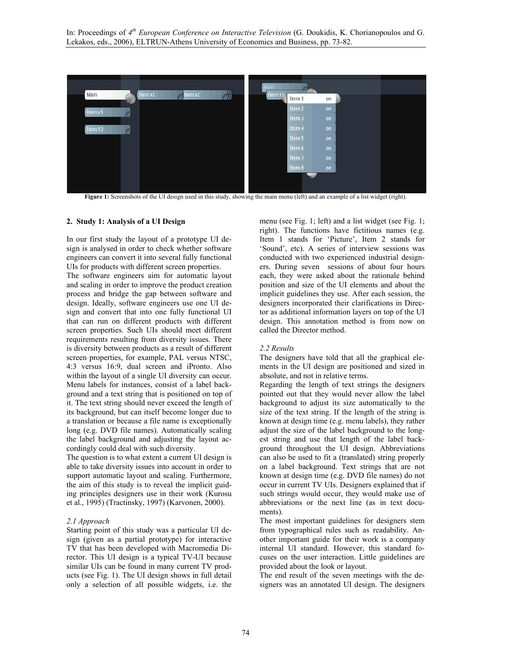

**Figure 1:** Screenshots of the UI design used in this study, showing the main menu (left) and an example of a list widget (right).

### **2. Study 1: Analysis of a UI Design**

In our first study the layout of a prototype UI design is analysed in order to check whether software engineers can convert it into several fully functional UIs for products with different screen properties.

The software engineers aim for automatic layout and scaling in order to improve the product creation process and bridge the gap between software and design. Ideally, software engineers use one UI design and convert that into one fully functional UI that can run on different products with different screen properties. Such UIs should meet different requirements resulting from diversity issues. There is diversity between products as a result of different screen properties, for example, PAL versus NTSC, 4:3 versus 16:9, dual screen and iPronto. Also within the layout of a single UI diversity can occur. Menu labels for instances, consist of a label background and a text string that is positioned on top of it. The text string should never exceed the length of its background, but can itself become longer due to a translation or because a file name is exceptionally long (e.g. DVD file names). Automatically scaling the label background and adjusting the layout accordingly could deal with such diversity.

The question is to what extent a current UI design is able to take diversity issues into account in order to support automatic layout and scaling. Furthermore, the aim of this study is to reveal the implicit guiding principles designers use in their work (Kurosu et al., 1995) (Tractinsky, 1997) (Karvonen, 2000).

#### *2.1 Approach*

Starting point of this study was a particular UI design (given as a partial prototype) for interactive TV that has been developed with Macromedia Director. This UI design is a typical TV-UI because similar UIs can be found in many current TV products (see Fig. 1). The UI design shows in full detail only a selection of all possible widgets, i.e. the

menu (see Fig. 1; left) and a list widget (see Fig. 1; right). The functions have fictitious names (e.g. Item 1 stands for 'Picture', Item 2 stands for 'Sound', etc). A series of interview sessions was conducted with two experienced industrial designers. During seven sessions of about four hours each, they were asked about the rationale behind position and size of the UI elements and about the implicit guidelines they use. After each session, the designers incorporated their clarifications in Director as additional information layers on top of the UI design. This annotation method is from now on called the Director method.

#### *2.2 Results*

The designers have told that all the graphical elements in the UI design are positioned and sized in absolute, and not in relative terms.

Regarding the length of text strings the designers pointed out that they would never allow the label background to adjust its size automatically to the size of the text string. If the length of the string is known at design time (e.g. menu labels), they rather adjust the size of the label background to the longest string and use that length of the label background throughout the UI design. Abbreviations can also be used to fit a (translated) string properly on a label background. Text strings that are not known at design time (e.g. DVD file names) do not occur in current TV UIs. Designers explained that if such strings would occur, they would make use of abbreviations or the next line (as in text documents).

The most important guidelines for designers stem from typographical rules such as readability. Another important guide for their work is a company internal UI standard. However, this standard focuses on the user interaction. Little guidelines are provided about the look or layout.

The end result of the seven meetings with the designers was an annotated UI design. The designers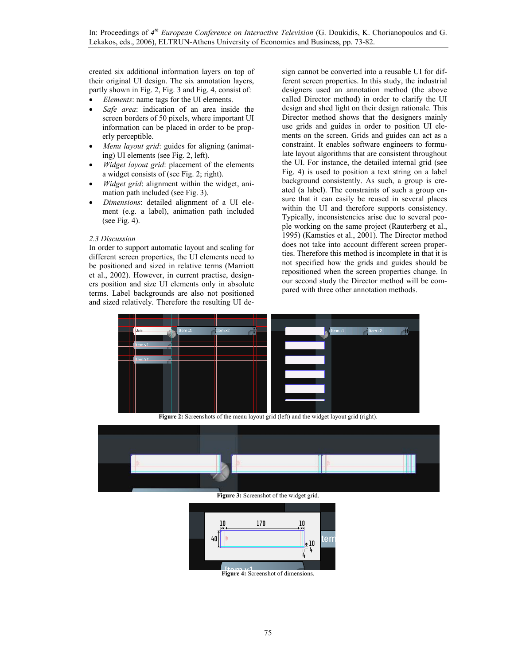created six additional information layers on top of their original UI design. The six annotation layers, partly shown in Fig. 2, Fig. 3 and Fig. 4, consist of:

- *Elements*: name tags for the UI elements.
- *Safe area*: indication of an area inside the screen borders of 50 pixels, where important UI information can be placed in order to be properly perceptible.
- *Menu layout grid:* guides for aligning (animating) UI elements (see Fig. 2, left).
- *Widget layout grid*: placement of the elements a widget consists of (see Fig. 2; right).
- *Widget grid*: alignment within the widget, animation path included (see Fig. 3).
- *Dimensions*: detailed alignment of a UI element (e.g. a label), animation path included (see Fig. 4).

# *2.3 Discussion*

In order to support automatic layout and scaling for different screen properties, the UI elements need to be positioned and sized in relative terms (Marriott et al., 2002). However, in current practise, designers position and size UI elements only in absolute terms. Label backgrounds are also not positioned and sized relatively. Therefore the resulting UI design cannot be converted into a reusable UI for different screen properties. In this study, the industrial designers used an annotation method (the above called Director method) in order to clarify the UI design and shed light on their design rationale. This Director method shows that the designers mainly use grids and guides in order to position UI elements on the screen. Grids and guides can act as a constraint. It enables software engineers to formulate layout algorithms that are consistent throughout the UI. For instance, the detailed internal grid (see Fig. 4) is used to position a text string on a label background consistently. As such, a group is created (a label). The constraints of such a group ensure that it can easily be reused in several places within the UI and therefore supports consistency. Typically, inconsistencies arise due to several people working on the same project (Rauterberg et al., 1995) (Kamsties et al., 2001). The Director method does not take into account different screen properties. Therefore this method is incomplete in that it is not specified how the grids and guides should be repositioned when the screen properties change. In our second study the Director method will be compared with three other annotation methods.



Figure 2: Screenshots of the menu layout grid (left) and the widget layout grid (right).



**Figure 3:** Screenshot of the widget grid.

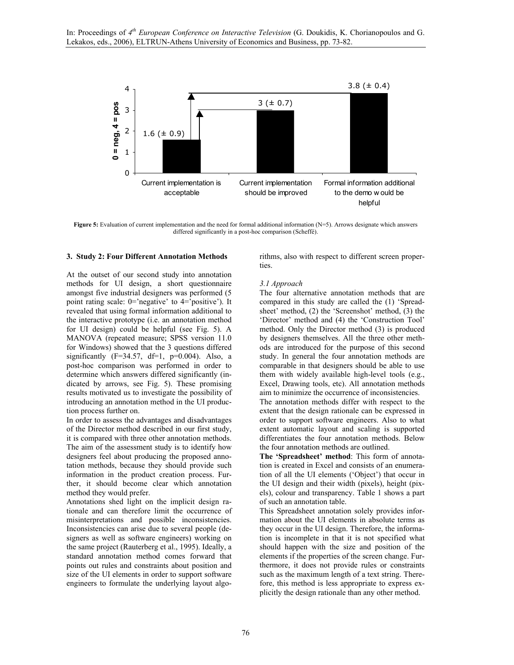

**Figure 5:** Evaluation of current implementation and the need for formal additional information (N=5). Arrows designate which answers differed significantly in a post-hoc comparison (Scheffé).

### **3. Study 2: Four Different Annotation Methods**

At the outset of our second study into annotation methods for UI design, a short questionnaire amongst five industrial designers was performed (5 point rating scale: 0='negative' to 4='positive'). It revealed that using formal information additional to the interactive prototype (i.e. an annotation method for UI design) could be helpful (see Fig. 5). A MANOVA (repeated measure; SPSS version 11.0 for Windows) showed that the 3 questions differed significantly ( $F=34.57$ ,  $df=1$ ,  $p=0.004$ ). Also, a post-hoc comparison was performed in order to determine which answers differed significantly (indicated by arrows, see Fig. 5). These promising results motivated us to investigate the possibility of introducing an annotation method in the UI production process further on.

In order to assess the advantages and disadvantages of the Director method described in our first study, it is compared with three other annotation methods. The aim of the assessment study is to identify how designers feel about producing the proposed annotation methods, because they should provide such information in the product creation process. Further, it should become clear which annotation method they would prefer.

Annotations shed light on the implicit design rationale and can therefore limit the occurrence of misinterpretations and possible inconsistencies. Inconsistencies can arise due to several people (designers as well as software engineers) working on the same project (Rauterberg et al., 1995). Ideally, a standard annotation method comes forward that points out rules and constraints about position and size of the UI elements in order to support software engineers to formulate the underlying layout algorithms, also with respect to different screen properties.

### *3.1 Approach*

The four alternative annotation methods that are compared in this study are called the (1) 'Spreadsheet' method, (2) the 'Screenshot' method, (3) the 'Director' method and (4) the 'Construction Tool' method. Only the Director method (3) is produced by designers themselves. All the three other methods are introduced for the purpose of this second study. In general the four annotation methods are comparable in that designers should be able to use them with widely available high-level tools (e.g., Excel, Drawing tools, etc). All annotation methods aim to minimize the occurrence of inconsistencies. The annotation methods differ with respect to the extent that the design rationale can be expressed in order to support software engineers. Also to what extent automatic layout and scaling is supported

differentiates the four annotation methods. Below the four annotation methods are outlined.

**The 'Spreadsheet' method**: This form of annotation is created in Excel and consists of an enumeration of all the UI elements ('Object') that occur in the UI design and their width (pixels), height (pixels), colour and transparency. Table 1 shows a part of such an annotation table.

This Spreadsheet annotation solely provides information about the UI elements in absolute terms as they occur in the UI design. Therefore, the information is incomplete in that it is not specified what should happen with the size and position of the elements if the properties of the screen change. Furthermore, it does not provide rules or constraints such as the maximum length of a text string. Therefore, this method is less appropriate to express explicitly the design rationale than any other method.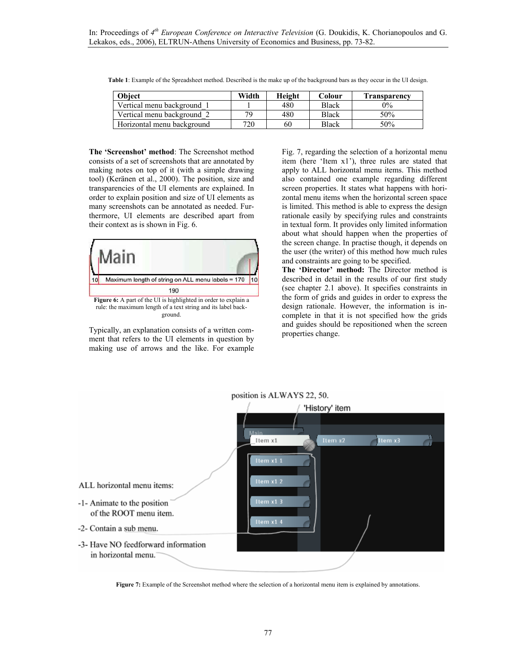| Obiect                     | Width | Height | Colour       | <b>Transparency</b> |
|----------------------------|-------|--------|--------------|---------------------|
| Vertical menu background   |       | 480    | <b>Black</b> | $0\%$               |
| Vertical menu background 2 | 70    | 480    | Black        | 50%                 |
| Horizontal menu background | 720   | 60     | <b>Black</b> | 50%                 |

**Table 1**: Example of the Spreadsheet method. Described is the make up of the background bars as they occur in the UI design.

**The 'Screenshot' method**: The Screenshot method consists of a set of screenshots that are annotated by making notes on top of it (with a simple drawing tool) (Keränen et al., 2000). The position, size and transparencies of the UI elements are explained. In order to explain position and size of UI elements as many screenshots can be annotated as needed. Furthermore, UI elements are described apart from their context as is shown in Fig. 6.



rule: the maximum length of a text string and its label background.

Typically, an explanation consists of a written comment that refers to the UI elements in question by making use of arrows and the like. For example Fig. 7, regarding the selection of a horizontal menu item (here 'Item x1'), three rules are stated that apply to ALL horizontal menu items. This method also contained one example regarding different screen properties. It states what happens with horizontal menu items when the horizontal screen space is limited. This method is able to express the design rationale easily by specifying rules and constraints in textual form. It provides only limited information about what should happen when the properties of the screen change. In practise though, it depends on the user (the writer) of this method how much rules and constraints are going to be specified.

**The 'Director' method:** The Director method is described in detail in the results of our first study (see chapter 2.1 above). It specifies constraints in the form of grids and guides in order to express the design rationale. However, the information is incomplete in that it is not specified how the grids and guides should be repositioned when the screen properties change.



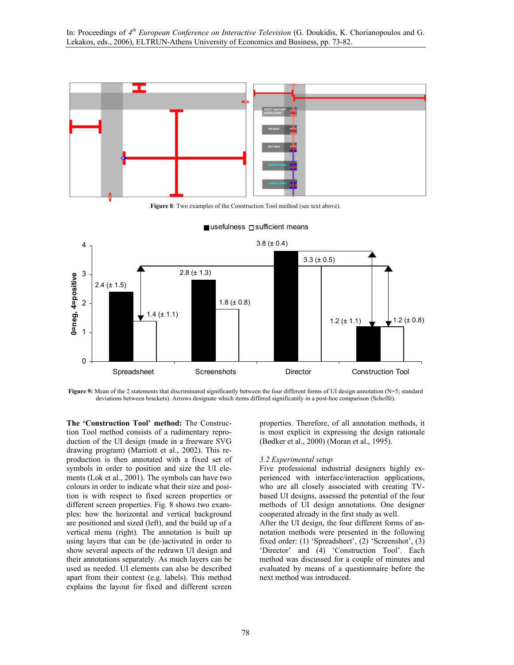

**Figure 8**: Two examples of the Construction Tool method (see text above).



#### $\blacksquare$ usefulness  $\Box$ sufficient means

**Figure 9:** Mean of the 2 statements that discriminated significantly between the four different forms of UI design annotation (N=5; standard deviations between brackets). Arrows designate which items differed significantly in a post-hoc comparison (Scheffé).

**The 'Construction Tool' method:** The Construction Tool method consists of a rudimentary reproduction of the UI design (made in a freeware SVG drawing program) (Marriott et al., 2002). This reproduction is then annotated with a fixed set of symbols in order to position and size the UI elements (Lok et al., 2001). The symbols can have two colours in order to indicate what their size and position is with respect to fixed screen properties or different screen properties. Fig. 8 shows two examples: how the horizontal and vertical background are positioned and sized (left), and the build up of a vertical menu (right). The annotation is built up using layers that can be (de-)activated in order to show several aspects of the redrawn UI design and their annotations separately. As much layers can be used as needed. UI elements can also be described apart from their context (e.g. labels). This method explains the layout for fixed and different screen

properties. Therefore, of all annotation methods, it is most explicit in expressing the design rationale (Bødker et al., 2000) (Moran et al., 1995).

#### *3.2 Experimental setup*

Five professional industrial designers highly experienced with interface/interaction applications, who are all closely associated with creating TVbased UI designs, assessed the potential of the four methods of UI design annotations. One designer cooperated already in the first study as well.

After the UI design, the four different forms of annotation methods were presented in the following fixed order: (1) 'Spreadsheet', (2) 'Screenshot', (3) 'Director' and (4) 'Construction Tool'. Each method was discussed for a couple of minutes and evaluated by means of a questionnaire before the next method was introduced.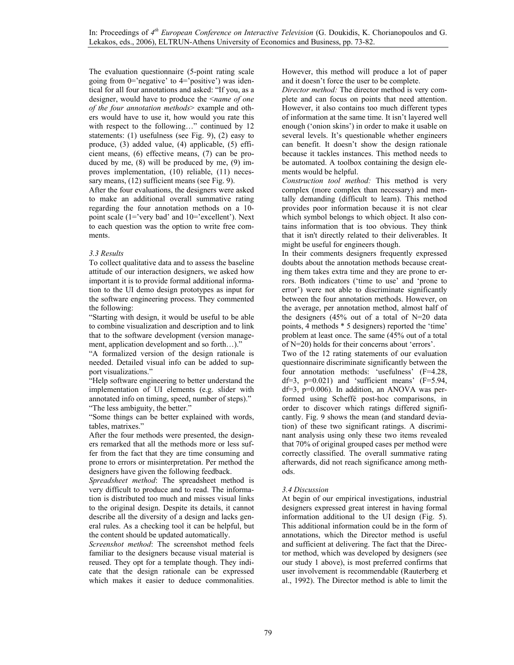The evaluation questionnaire (5-point rating scale going from 0='negative' to 4='positive') was identical for all four annotations and asked: "If you, as a designer, would have to produce the <*name of one of the four annotation methods*> example and others would have to use it, how would you rate this with respect to the following..." continued by 12 statements: (1) usefulness (see Fig. 9), (2) easy to produce, (3) added value, (4) applicable, (5) efficient means, (6) effective means, (7) can be produced by me, (8) will be produced by me, (9) improves implementation, (10) reliable, (11) necessary means, (12) sufficient means (see Fig. 9).

After the four evaluations, the designers were asked to make an additional overall summative rating regarding the four annotation methods on a 10 point scale (1='very bad' and 10='excellent'). Next to each question was the option to write free comments.

### *3.3 Results*

To collect qualitative data and to assess the baseline attitude of our interaction designers, we asked how important it is to provide formal additional information to the UI demo design prototypes as input for the software engineering process. They commented the following:

"Starting with design, it would be useful to be able to combine visualization and description and to link that to the software development (version management, application development and so forth…)."

"A formalized version of the design rationale is needed. Detailed visual info can be added to support visualizations."

"Help software engineering to better understand the implementation of UI elements (e.g. slider with annotated info on timing, speed, number of steps)." "The less ambiguity, the better."

"Some things can be better explained with words, tables, matrixes."

After the four methods were presented, the designers remarked that all the methods more or less suffer from the fact that they are time consuming and prone to errors or misinterpretation. Per method the designers have given the following feedback.

*Spreadsheet method*: The spreadsheet method is very difficult to produce and to read. The information is distributed too much and misses visual links to the original design. Despite its details, it cannot describe all the diversity of a design and lacks general rules. As a checking tool it can be helpful, but the content should be updated automatically.

*Screenshot method*: The screenshot method feels familiar to the designers because visual material is reused. They opt for a template though. They indicate that the design rationale can be expressed which makes it easier to deduce commonalities. However, this method will produce a lot of paper and it doesn't force the user to be complete.

*Director method:* The director method is very complete and can focus on points that need attention. However, it also contains too much different types of information at the same time. It isn't layered well enough ('onion skins') in order to make it usable on several levels. It's questionable whether engineers can benefit. It doesn't show the design rationale because it tackles instances. This method needs to be automated. A toolbox containing the design elements would be helpful.

*Construction tool method:* This method is very complex (more complex than necessary) and mentally demanding (difficult to learn). This method provides poor information because it is not clear which symbol belongs to which object. It also contains information that is too obvious. They think that it isn't directly related to their deliverables. It might be useful for engineers though.

In their comments designers frequently expressed doubts about the annotation methods because creating them takes extra time and they are prone to errors. Both indicators ('time to use' and 'prone to error') were not able to discriminate significantly between the four annotation methods. However, on the average, per annotation method, almost half of the designers (45% out of a total of N=20 data points, 4 methods \* 5 designers) reported the 'time' problem at least once. The same (45% out of a total of N=20) holds for their concerns about 'errors'.

Two of the 12 rating statements of our evaluation questionnaire discriminate significantly between the four annotation methods: 'usefulness' (F=4.28, df=3,  $p=0.021$ ) and 'sufficient means'  $(F=5.94)$ , df=3, p=0.006). In addition, an ANOVA was performed using Scheffé post-hoc comparisons, in order to discover which ratings differed significantly. Fig. 9 shows the mean (and standard deviation) of these two significant ratings. A discriminant analysis using only these two items revealed that 70% of original grouped cases per method were correctly classified. The overall summative rating afterwards, did not reach significance among methods.

# *3.4 Discussion*

At begin of our empirical investigations, industrial designers expressed great interest in having formal information additional to the UI design (Fig. 5). This additional information could be in the form of annotations, which the Director method is useful and sufficient at delivering. The fact that the Director method, which was developed by designers (see our study 1 above), is most preferred confirms that user involvement is recommendable (Rauterberg et al., 1992). The Director method is able to limit the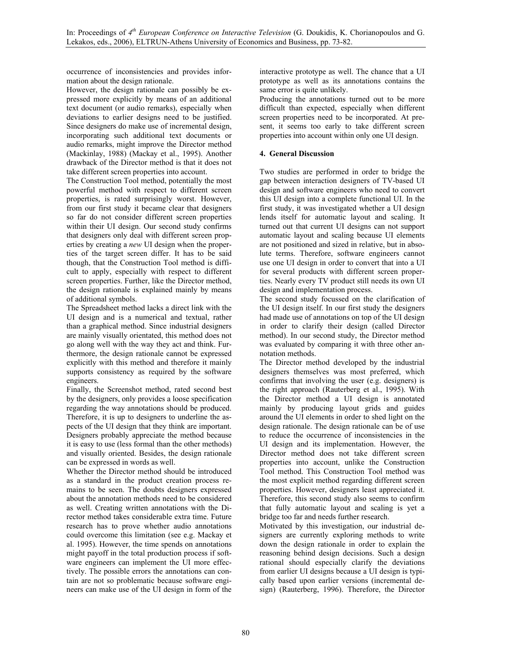occurrence of inconsistencies and provides information about the design rationale.

However, the design rationale can possibly be expressed more explicitly by means of an additional text document (or audio remarks), especially when deviations to earlier designs need to be justified. Since designers do make use of incremental design, incorporating such additional text documents or audio remarks, might improve the Director method (Mackinlay, 1988) (Mackay et al., 1995). Another drawback of the Director method is that it does not take different screen properties into account.

The Construction Tool method, potentially the most powerful method with respect to different screen properties, is rated surprisingly worst. However, from our first study it became clear that designers so far do not consider different screen properties within their UI design. Our second study confirms that designers only deal with different screen properties by creating a *new* UI design when the properties of the target screen differ. It has to be said though, that the Construction Tool method is difficult to apply, especially with respect to different screen properties. Further, like the Director method, the design rationale is explained mainly by means of additional symbols.

The Spreadsheet method lacks a direct link with the UI design and is a numerical and textual, rather than a graphical method. Since industrial designers are mainly visually orientated, this method does not go along well with the way they act and think. Furthermore, the design rationale cannot be expressed explicitly with this method and therefore it mainly supports consistency as required by the software engineers.

Finally, the Screenshot method, rated second best by the designers, only provides a loose specification regarding the way annotations should be produced. Therefore, it is up to designers to underline the aspects of the UI design that they think are important. Designers probably appreciate the method because it is easy to use (less formal than the other methods) and visually oriented. Besides, the design rationale can be expressed in words as well.

Whether the Director method should be introduced as a standard in the product creation process remains to be seen. The doubts designers expressed about the annotation methods need to be considered as well. Creating written annotations with the Director method takes considerable extra time. Future research has to prove whether audio annotations could overcome this limitation (see e.g. Mackay et al. 1995). However, the time spends on annotations might payoff in the total production process if software engineers can implement the UI more effectively. The possible errors the annotations can contain are not so problematic because software engineers can make use of the UI design in form of the interactive prototype as well. The chance that a UI prototype as well as its annotations contains the same error is quite unlikely.

Producing the annotations turned out to be more difficult than expected, especially when different screen properties need to be incorporated. At present, it seems too early to take different screen properties into account within only one UI design.

# **4. General Discussion**

Two studies are performed in order to bridge the gap between interaction designers of TV-based UI design and software engineers who need to convert this UI design into a complete functional UI. In the first study, it was investigated whether a UI design lends itself for automatic layout and scaling. It turned out that current UI designs can not support automatic layout and scaling because UI elements are not positioned and sized in relative, but in absolute terms. Therefore, software engineers cannot use one UI design in order to convert that into a UI for several products with different screen properties. Nearly every TV product still needs its own UI design and implementation process.

The second study focussed on the clarification of the UI design itself. In our first study the designers had made use of annotations on top of the UI design in order to clarify their design (called Director method). In our second study, the Director method was evaluated by comparing it with three other annotation methods.

The Director method developed by the industrial designers themselves was most preferred, which confirms that involving the user (e.g. designers) is the right approach (Rauterberg et al., 1995). With the Director method a UI design is annotated mainly by producing layout grids and guides around the UI elements in order to shed light on the design rationale. The design rationale can be of use to reduce the occurrence of inconsistencies in the UI design and its implementation. However, the Director method does not take different screen properties into account, unlike the Construction Tool method. This Construction Tool method was the most explicit method regarding different screen properties. However, designers least appreciated it. Therefore, this second study also seems to confirm that fully automatic layout and scaling is yet a bridge too far and needs further research.

Motivated by this investigation, our industrial designers are currently exploring methods to write down the design rationale in order to explain the reasoning behind design decisions. Such a design rational should especially clarify the deviations from earlier UI designs because a UI design is typically based upon earlier versions (incremental design) (Rauterberg, 1996). Therefore, the Director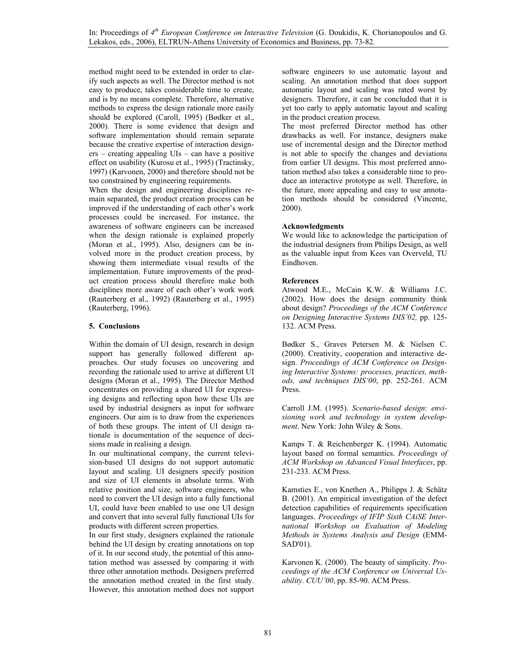method might need to be extended in order to clarify such aspects as well. The Director method is not easy to produce, takes considerable time to create, and is by no means complete. Therefore, alternative methods to express the design rationale more easily should be explored (Caroll, 1995) (Bødker et al., 2000). There is some evidence that design and software implementation should remain separate because the creative expertise of interaction designers – creating appealing UIs – can have a positive effect on usability (Kurosu et al., 1995) (Tractinsky, 1997) (Karvonen, 2000) and therefore should not be too constrained by engineering requirements.

When the design and engineering disciplines remain separated, the product creation process can be improved if the understanding of each other's work processes could be increased. For instance, the awareness of software engineers can be increased when the design rationale is explained properly (Moran et al., 1995). Also, designers can be involved more in the product creation process, by showing them intermediate visual results of the implementation. Future improvements of the product creation process should therefore make both disciplines more aware of each other's work work (Rauterberg et al., 1992) (Rauterberg et al., 1995) (Rauterberg, 1996).

# **5. Conclusions**

Within the domain of UI design, research in design support has generally followed different approaches. Our study focuses on uncovering and recording the rationale used to arrive at different UI designs (Moran et al., 1995). The Director Method concentrates on providing a shared UI for expressing designs and reflecting upon how these UIs are used by industrial designers as input for software engineers. Our aim is to draw from the experiences of both these groups. The intent of UI design rationale is documentation of the sequence of decisions made in realising a design.

In our multinational company, the current television-based UI designs do not support automatic layout and scaling. UI designers specify position and size of UI elements in absolute terms. With relative position and size, software engineers, who need to convert the UI design into a fully functional UI, could have been enabled to use one UI design and convert that into several fully functional UIs for products with different screen properties.

In our first study, designers explained the rationale behind the UI design by creating annotations on top of it. In our second study, the potential of this annotation method was assessed by comparing it with three other annotation methods. Designers preferred the annotation method created in the first study. However, this annotation method does not support software engineers to use automatic layout and scaling. An annotation method that does support automatic layout and scaling was rated worst by designers. Therefore, it can be concluded that it is yet too early to apply automatic layout and scaling in the product creation process.

The most preferred Director method has other drawbacks as well. For instance, designers make use of incremental design and the Director method is not able to specify the changes and deviations from earlier UI designs. This most preferred annotation method also takes a considerable time to produce an interactive prototype as well. Therefore, in the future, more appealing and easy to use annotation methods should be considered (Vincente, 2000).

# **Acknowledgments**

We would like to acknowledge the participation of the industrial designers from Philips Design, as well as the valuable input from Kees van Overveld, TU Eindhoven.

# **References**

Atwood M.E., McCain K.W. & Williams J.C. (2002). How does the design community think about design? *Proceedings of the ACM Conference on Designing Interactive Systems DIS'02,* pp. 125- 132. ACM Press.

Bødker S., Graves Petersen M. & Nielsen C. (2000). Creativity, cooperation and interactive design. *Proceedings of ACM Conference on Designing Interactive Systems: processes, practices, methods, and techniques DIS'00*, pp. 252-261. ACM Press.

Carroll J.M. (1995). *Scenario-based design: envisioning work and technology in system development*. New York: John Wiley & Sons.

Kamps T. & Reichenberger K. (1994). Automatic layout based on formal semantics. *Proceedings of ACM Workshop on Advanced Visual Interfaces*, pp. 231-233. ACM Press.

Kamsties E., von Knethen A., Philipps J. & Schätz B. (2001). An empirical investigation of the defect detection capabilities of requirements specification languages. *Proceedings of IFIP Sixth CAiSE International Workshop on Evaluation of Modeling Methods in Systems Analysis and Design* (EMM-SAD'01).

Karvonen K. (2000). The beauty of simplicity. *Proceedings of the ACM Conference on Universal Usability. CUU'00*, pp. 85-90. ACM Press.